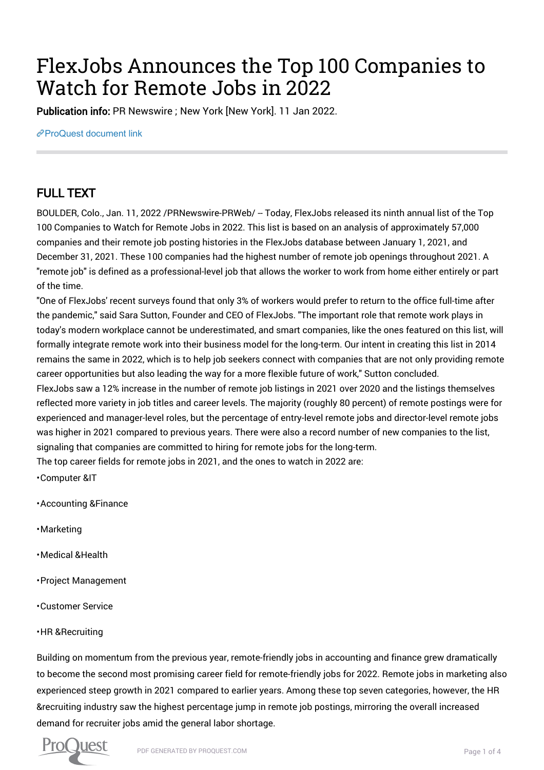# FlexJobs Announces the Top 100 Companies to Watch for Remote Jobs in 2022

Publication info: PR Newswire ; New York [New York]. 11 Jan 2022.

[ProQuest document link](https://www.proquest.com/wire-feeds/flexjobs-announces-top-100-companies-watch-remote/docview/2618445026/se-2?accountid=44910)

## FULL TEXT

BOULDER, Colo., Jan. 11, 2022 /PRNewswire-PRWeb/ -- Today, FlexJobs released its ninth annual list of the Top 100 Companies to Watch for Remote Jobs in 2022. This list is based on an analysis of approximately 57,000 companies and their remote job posting histories in the FlexJobs database between January 1, 2021, and December 31, 2021. These 100 companies had the highest number of remote job openings throughout 2021. A "remote job" is defined as a professional-level job that allows the worker to work from home either entirely or part of the time.

"One of FlexJobs' recent surveys found that only 3% of workers would prefer to return to the office full-time after the pandemic," said Sara Sutton, Founder and CEO of FlexJobs. "The important role that remote work plays in today's modern workplace cannot be underestimated, and smart companies, like the ones featured on this list, will formally integrate remote work into their business model for the long-term. Our intent in creating this list in 2014 remains the same in 2022, which is to help job seekers connect with companies that are not only providing remote career opportunities but also leading the way for a more flexible future of work," Sutton concluded.

FlexJobs saw a 12% increase in the number of remote job listings in 2021 over 2020 and the listings themselves reflected more variety in job titles and career levels. The majority (roughly 80 percent) of remote postings were for experienced and manager-level roles, but the percentage of entry-level remote jobs and director-level remote jobs was higher in 2021 compared to previous years. There were also a record number of new companies to the list, signaling that companies are committed to hiring for remote jobs for the long-term.

The top career fields for remote jobs in 2021, and the ones to watch in 2022 are:

• Computer &IT

• Accounting &Finance

- Marketing
- Medical &Health
- Project Management
- Customer Service
- HR &Recruiting

Building on momentum from the previous year, remote-friendly jobs in accounting and finance grew dramatically to become the second most promising career field for remote-friendly jobs for 2022. Remote jobs in marketing also experienced steep growth in 2021 compared to earlier years. Among these top seven categories, however, the HR &recruiting industry saw the highest percentage jump in remote job postings, mirroring the overall increased demand for recruiter jobs amid the general labor shortage.

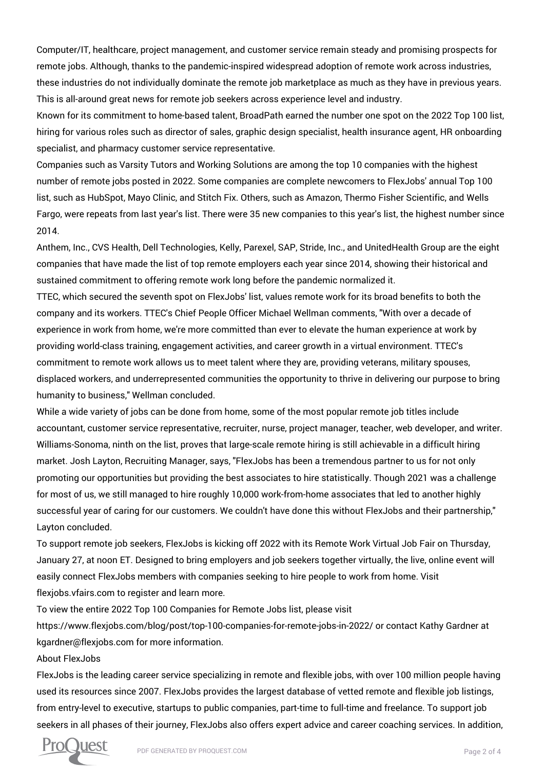Computer/IT, healthcare, project management, and customer service remain steady and promising prospects for remote jobs. Although, thanks to the pandemic-inspired widespread adoption of remote work across industries, these industries do not individually dominate the remote job marketplace as much as they have in previous years. This is all-around great news for remote job seekers across experience level and industry.

Known for its commitment to home-based talent, BroadPath earned the number one spot on the 2022 Top 100 list, hiring for various roles such as director of sales, graphic design specialist, health insurance agent, HR onboarding specialist, and pharmacy customer service representative.

Companies such as Varsity Tutors and Working Solutions are among the top 10 companies with the highest number of remote jobs posted in 2022. Some companies are complete newcomers to FlexJobs' annual Top 100 list, such as HubSpot, Mayo Clinic, and Stitch Fix. Others, such as Amazon, Thermo Fisher Scientific, and Wells Fargo, were repeats from last year's list. There were 35 new companies to this year's list, the highest number since 2014.

Anthem, Inc., CVS Health, Dell Technologies, Kelly, Parexel, SAP, Stride, Inc., and UnitedHealth Group are the eight companies that have made the list of top remote employers each year since 2014, showing their historical and sustained commitment to offering remote work long before the pandemic normalized it.

TTEC, which secured the seventh spot on FlexJobs' list, values remote work for its broad benefits to both the company and its workers. TTEC's Chief People Officer Michael Wellman comments, "With over a decade of experience in work from home, we're more committed than ever to elevate the human experience at work by providing world-class training, engagement activities, and career growth in a virtual environment. TTEC's commitment to remote work allows us to meet talent where they are, providing veterans, military spouses, displaced workers, and underrepresented communities the opportunity to thrive in delivering our purpose to bring humanity to business," Wellman concluded.

While a wide variety of jobs can be done from home, some of the most popular remote job titles include accountant, customer service representative, recruiter, nurse, project manager, teacher, web developer, and writer. Williams-Sonoma, ninth on the list, proves that large-scale remote hiring is still achievable in a difficult hiring market. Josh Layton, Recruiting Manager, says, "FlexJobs has been a tremendous partner to us for not only promoting our opportunities but providing the best associates to hire statistically. Though 2021 was a challenge for most of us, we still managed to hire roughly 10,000 work-from-home associates that led to another highly successful year of caring for our customers. We couldn't have done this without FlexJobs and their partnership," Layton concluded.

To support remote job seekers, FlexJobs is kicking off 2022 with its Remote Work Virtual Job Fair on Thursday, January 27, at noon ET. Designed to bring employers and job seekers together virtually, the live, online event will easily connect FlexJobs members with companies seeking to hire people to work from home. Visit flexjobs.vfairs.com to register and learn more.

To view the entire 2022 Top 100 Companies for Remote Jobs list, please visit

https://www.flexjobs.com/blog/post/top-100-companies-for-remote-jobs-in-2022/ or contact Kathy Gardner at kgardner@flexjobs.com for more information.

#### About FlexJobs

FlexJobs is the leading career service specializing in remote and flexible jobs, with over 100 million people having used its resources since 2007. FlexJobs provides the largest database of vetted remote and flexible job listings, from entry-level to executive, startups to public companies, part-time to full-time and freelance. To support job seekers in all phases of their journey, FlexJobs also offers expert advice and career coaching services. In addition,

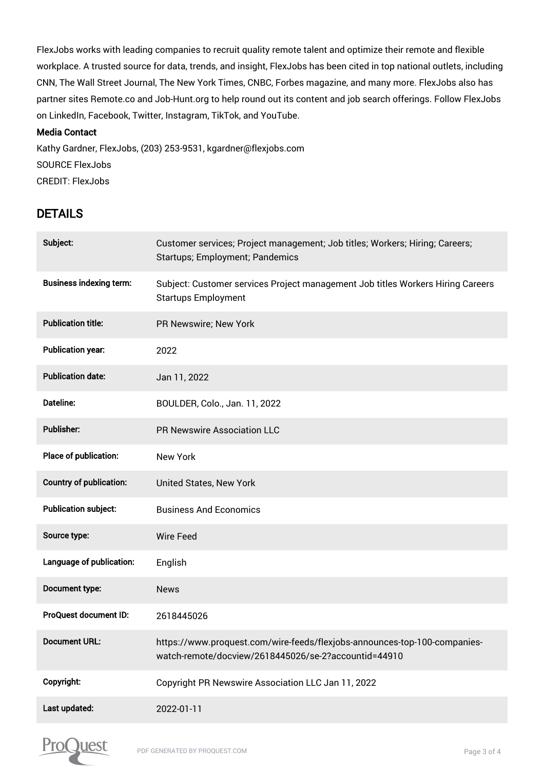FlexJobs works with leading companies to recruit quality remote talent and optimize their remote and flexible workplace. A trusted source for data, trends, and insight, FlexJobs has been cited in top national outlets, including CNN, The Wall Street Journal, The New York Times, CNBC, Forbes magazine, and many more. FlexJobs also has partner sites Remote.co and Job-Hunt.org to help round out its content and job search offerings. Follow FlexJobs on LinkedIn, Facebook, Twitter, Instagram, TikTok, and YouTube.

#### Media Contact

Kathy Gardner, FlexJobs, (203) 253-9531, kgardner@flexjobs.com SOURCE FlexJobs CREDIT: FlexJobs

### DETAILS

| Subject:                       | Customer services; Project management; Job titles; Workers; Hiring; Careers;<br><b>Startups; Employment; Pandemics</b>            |
|--------------------------------|-----------------------------------------------------------------------------------------------------------------------------------|
| <b>Business indexing term:</b> | Subject: Customer services Project management Job titles Workers Hiring Careers<br><b>Startups Employment</b>                     |
| <b>Publication title:</b>      | PR Newswire; New York                                                                                                             |
| <b>Publication year:</b>       | 2022                                                                                                                              |
| <b>Publication date:</b>       | Jan 11, 2022                                                                                                                      |
| Dateline:                      | BOULDER, Colo., Jan. 11, 2022                                                                                                     |
| Publisher:                     | <b>PR Newswire Association LLC</b>                                                                                                |
| Place of publication:          | <b>New York</b>                                                                                                                   |
| <b>Country of publication:</b> | United States, New York                                                                                                           |
| <b>Publication subject:</b>    | <b>Business And Economics</b>                                                                                                     |
| Source type:                   | <b>Wire Feed</b>                                                                                                                  |
| Language of publication:       | English                                                                                                                           |
| Document type:                 | <b>News</b>                                                                                                                       |
| ProQuest document ID:          | 2618445026                                                                                                                        |
| Document URL:                  | https://www.proquest.com/wire-feeds/flexjobs-announces-top-100-companies-<br>watch-remote/docview/2618445026/se-2?accountid=44910 |
| Copyright:                     | Copyright PR Newswire Association LLC Jan 11, 2022                                                                                |
| Last updated:                  | 2022-01-11                                                                                                                        |